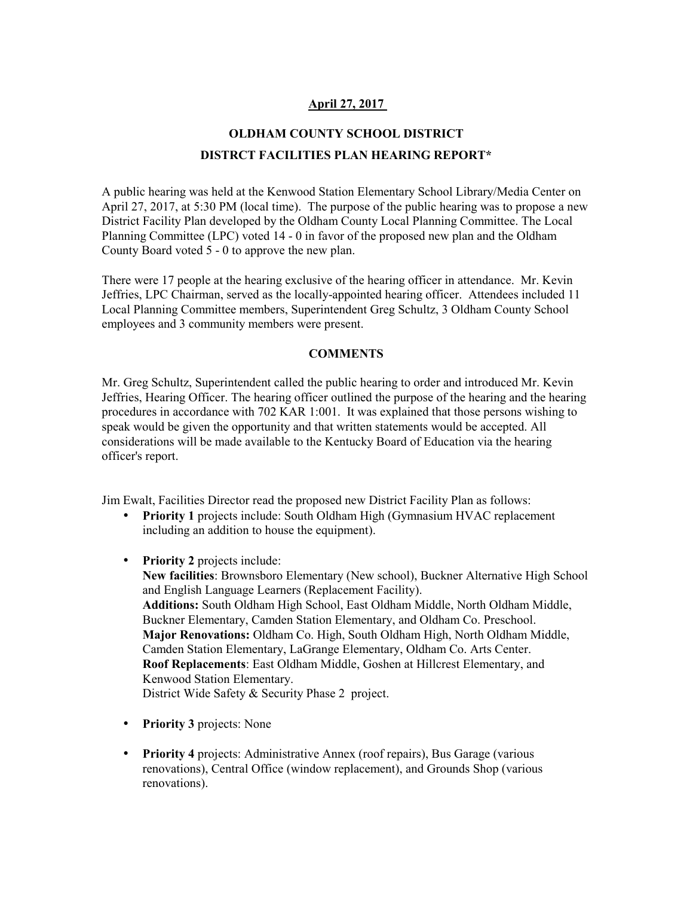## **April 27, 2017**

## **OLDHAM COUNTY SCHOOL DISTRICT DISTRCT FACILITIES PLAN HEARING REPORT\***

A public hearing was held at the Kenwood Station Elementary School Library/Media Center on April 27, 2017, at 5:30 PM (local time). The purpose of the public hearing was to propose a new District Facility Plan developed by the Oldham County Local Planning Committee. The Local Planning Committee (LPC) voted 14 - 0 in favor of the proposed new plan and the Oldham County Board voted 5 - 0 to approve the new plan.

There were 17 people at the hearing exclusive of the hearing officer in attendance. Mr. Kevin Jeffries, LPC Chairman, served as the locally-appointed hearing officer. Attendees included 11 Local Planning Committee members, Superintendent Greg Schultz, 3 Oldham County School employees and 3 community members were present.

## **COMMENTS**

Mr. Greg Schultz, Superintendent called the public hearing to order and introduced Mr. Kevin Jeffries, Hearing Officer. The hearing officer outlined the purpose of the hearing and the hearing procedures in accordance with 702 KAR 1:001. It was explained that those persons wishing to speak would be given the opportunity and that written statements would be accepted. All considerations will be made available to the Kentucky Board of Education via the hearing officer's report.

Jim Ewalt, Facilities Director read the proposed new District Facility Plan as follows:

- **Priority 1** projects include: South Oldham High (Gymnasium HVAC replacement) including an addition to house the equipment).
- **Priority 2** projects include:
	- **New facilities**: Brownsboro Elementary (New school), Buckner Alternative High School and English Language Learners (Replacement Facility). **Additions:** South Oldham High School, East Oldham Middle, North Oldham Middle, Buckner Elementary, Camden Station Elementary, and Oldham Co. Preschool. **Major Renovations:** Oldham Co. High, South Oldham High, North Oldham Middle, Camden Station Elementary, LaGrange Elementary, Oldham Co. Arts Center. **Roof Replacements**: East Oldham Middle, Goshen at Hillcrest Elementary, and Kenwood Station Elementary. District Wide Safety & Security Phase 2 project.
- **Priority 3** projects: None
- **Priority 4** projects: Administrative Annex (roof repairs), Bus Garage (various renovations), Central Office (window replacement), and Grounds Shop (various renovations).